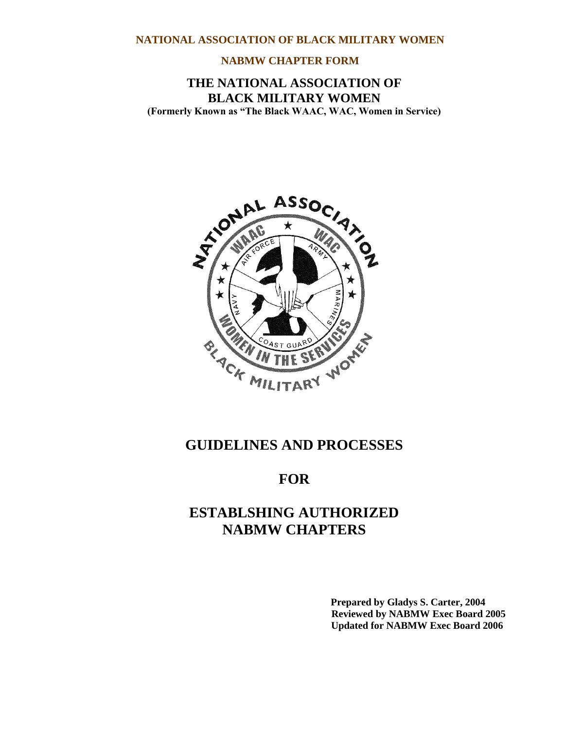#### **NABMW CHAPTER FORM**

# **THE NATIONAL ASSOCIATION OF BLACK MILITARY WOMEN (Formerly Known as "The Black WAAC, WAC, Women in Service)**



# **GUIDELINES AND PROCESSES**

# **FOR**

# **ESTABLSHING AUTHORIZED NABMW CHAPTERS**

**Prepared by Gladys S. Carter, 2004…… Reviewed by NABMW Exec Board 2005 Updated for NABMW Exec Board 2006.**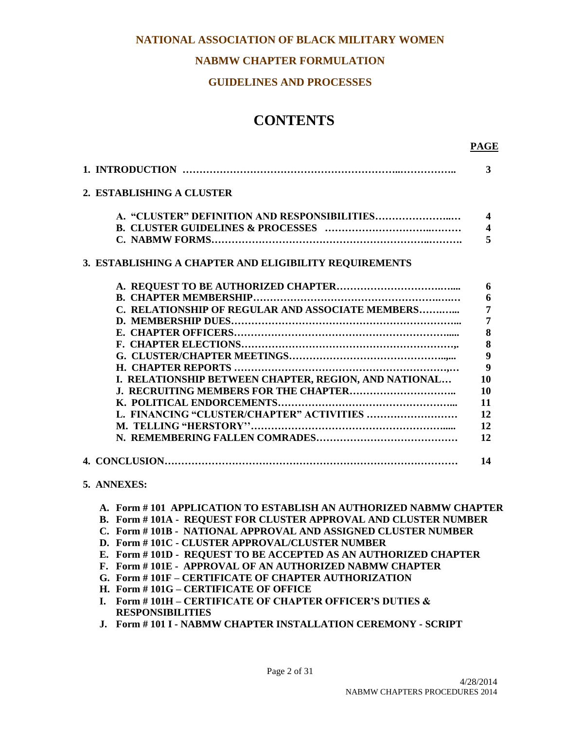# **NABMW CHAPTER FORMULATION**

#### **GUIDELINES AND PROCESSES**

# **CONTENTS**

| 2. ESTABLISHING A CLUSTER                              |                         |
|--------------------------------------------------------|-------------------------|
|                                                        | $\boldsymbol{4}$        |
|                                                        | $\overline{\mathbf{4}}$ |
|                                                        | 5                       |
| 3. ESTABLISHING A CHAPTER AND ELIGIBILITY REQUIREMENTS |                         |
|                                                        | 6                       |
|                                                        | 6                       |
| C. RELATIONSHIP OF REGULAR AND ASSOCIATE MEMBERS       | $\overline{7}$          |
|                                                        | 7                       |
|                                                        | 8                       |
|                                                        | 8                       |
|                                                        | $\overline{9}$          |
|                                                        | 9                       |
| I. RELATIONSHIP BETWEEN CHAPTER, REGION, AND NATIONAL  | 10                      |
|                                                        | 10                      |
|                                                        | 11                      |
| L. FINANCING "CLUSTER/CHAPTER" ACTIVITIES              | 12                      |
|                                                        | 12                      |
|                                                        | 12                      |
|                                                        | 14                      |

#### **5. ANNEXES:**

#### **A. Form # 101 APPLICATION TO ESTABLISH AN AUTHORIZED NABMW CHAPTER**

- **B. Form # 101A REQUEST FOR CLUSTER APPROVAL AND CLUSTER NUMBER**
- **C. Form # 101B NATIONAL APPROVAL AND ASSIGNED CLUSTER NUMBER**
- **D. Form # 101C - CLUSTER APPROVAL/CLUSTER NUMBER**
- **E. Form # 101D REQUEST TO BE ACCEPTED AS AN AUTHORIZED CHAPTER**
- **F. Form # 101E APPROVAL OF AN AUTHORIZED NABMW CHAPTER**
- **G. Form # 101F – CERTIFICATE OF CHAPTER AUTHORIZATION**
- **H. Form # 101G – CERTIFICATE OF OFFICE**
- **I. Form # 101H – CERTIFICATE OF CHAPTER OFFICER'S DUTIES & RESPONSIBILITIES**
- **J. Form # 101 I - NABMW CHAPTER INSTALLATION CEREMONY - SCRIPT**

 **PAGE**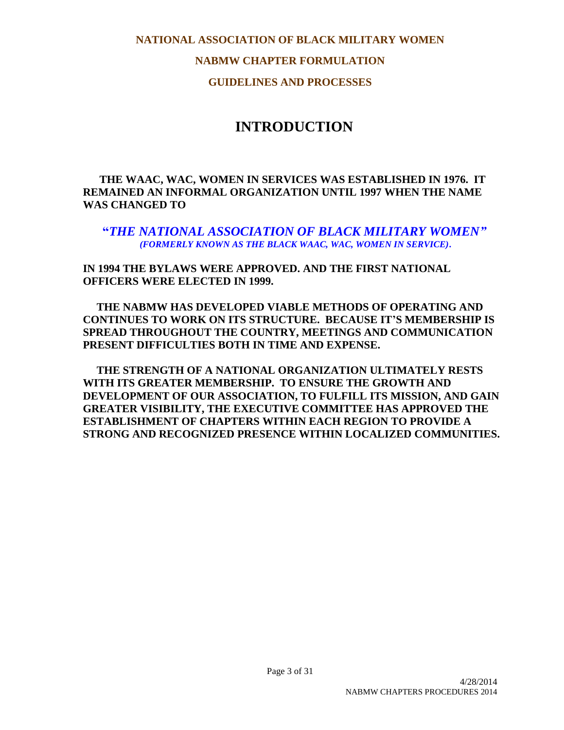**NABMW CHAPTER FORMULATION**

**GUIDELINES AND PROCESSES**

# **INTRODUCTION**

 **THE WAAC, WAC, WOMEN IN SERVICES WAS ESTABLISHED IN 1976. IT REMAINED AN INFORMAL ORGANIZATION UNTIL 1997 WHEN THE NAME WAS CHANGED TO** 

**"***THE NATIONAL ASSOCIATION OF BLACK MILITARY WOMEN" (FORMERLY KNOWN AS THE BLACK WAAC, WAC, WOMEN IN SERVICE)***.**

**IN 1994 THE BYLAWS WERE APPROVED. AND THE FIRST NATIONAL OFFICERS WERE ELECTED IN 1999.**

 **THE NABMW HAS DEVELOPED VIABLE METHODS OF OPERATING AND CONTINUES TO WORK ON ITS STRUCTURE. BECAUSE IT'S MEMBERSHIP IS SPREAD THROUGHOUT THE COUNTRY, MEETINGS AND COMMUNICATION PRESENT DIFFICULTIES BOTH IN TIME AND EXPENSE.**

 **THE STRENGTH OF A NATIONAL ORGANIZATION ULTIMATELY RESTS WITH ITS GREATER MEMBERSHIP. TO ENSURE THE GROWTH AND DEVELOPMENT OF OUR ASSOCIATION, TO FULFILL ITS MISSION, AND GAIN GREATER VISIBILITY, THE EXECUTIVE COMMITTEE HAS APPROVED THE ESTABLISHMENT OF CHAPTERS WITHIN EACH REGION TO PROVIDE A STRONG AND RECOGNIZED PRESENCE WITHIN LOCALIZED COMMUNITIES.**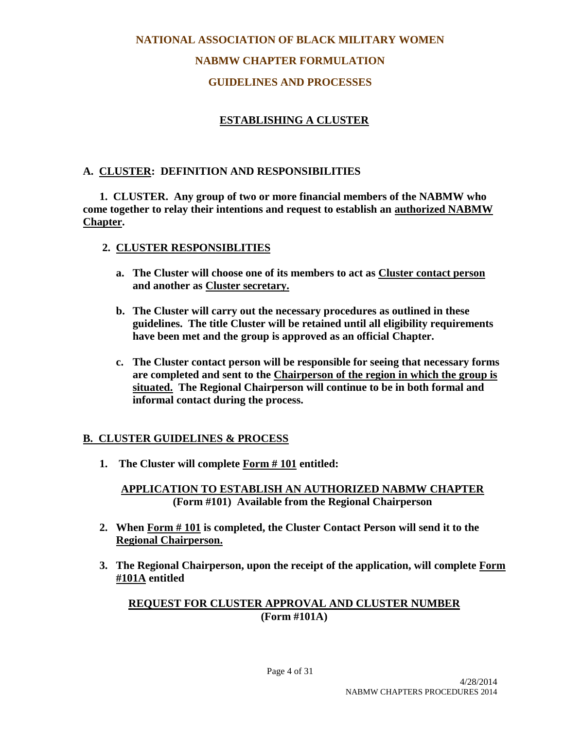# **NABMW CHAPTER FORMULATION**

# **GUIDELINES AND PROCESSES**

# **ESTABLISHING A CLUSTER**

# **A. CLUSTER: DEFINITION AND RESPONSIBILITIES**

 **1. CLUSTER. Any group of two or more financial members of the NABMW who come together to relay their intentions and request to establish an authorized NABMW Chapter.**

### **2. CLUSTER RESPONSIBLITIES**

- **a. The Cluster will choose one of its members to act as Cluster contact person and another as Cluster secretary.**
- **b. The Cluster will carry out the necessary procedures as outlined in these guidelines. The title Cluster will be retained until all eligibility requirements have been met and the group is approved as an official Chapter.**
- **c. The Cluster contact person will be responsible for seeing that necessary forms are completed and sent to the Chairperson of the region in which the group is situated. The Regional Chairperson will continue to be in both formal and informal contact during the process.**

# **B. CLUSTER GUIDELINES & PROCESS**

**1. The Cluster will complete Form # 101 entitled:**

**APPLICATION TO ESTABLISH AN AUTHORIZED NABMW CHAPTER (Form #101) Available from the Regional Chairperson**

- **2. When Form # 101 is completed, the Cluster Contact Person will send it to the Regional Chairperson.**
- **3. The Regional Chairperson, upon the receipt of the application, will complete Form #101A entitled**

# **REQUEST FOR CLUSTER APPROVAL AND CLUSTER NUMBER (Form #101A)**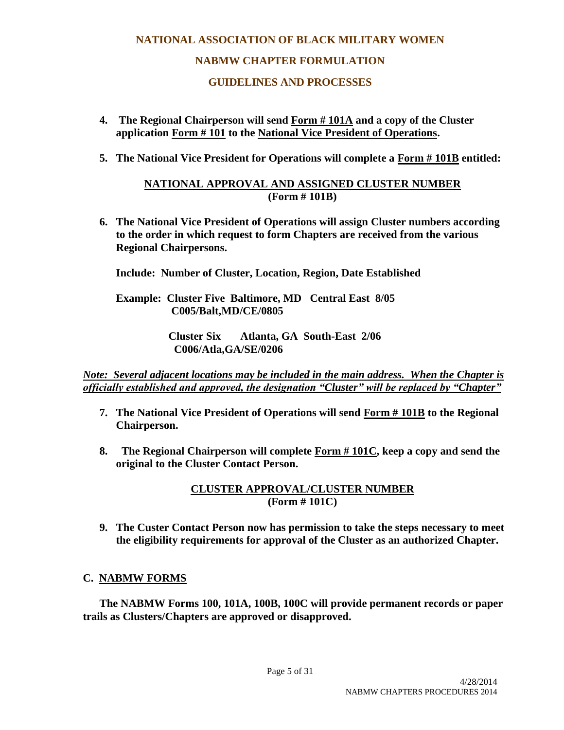# **NATIONAL ASSOCIATION OF BLACK MILITARY WOMEN NABMW CHAPTER FORMULATION**

# **GUIDELINES AND PROCESSES**

- **4. The Regional Chairperson will send Form # 101A and a copy of the Cluster application Form # 101 to the National Vice President of Operations.**
- **5. The National Vice President for Operations will complete a Form # 101B entitled:**

# **NATIONAL APPROVAL AND ASSIGNED CLUSTER NUMBER (Form # 101B)**

**6. The National Vice President of Operations will assign Cluster numbers according to the order in which request to form Chapters are received from the various Regional Chairpersons.**

**Include: Number of Cluster, Location, Region, Date Established**

 **Example: Cluster Five Baltimore, MD Central East 8/05 C005/Balt,MD/CE/0805**

> **Cluster Six Atlanta, GA South-East 2/06 C006/Atla,GA/SE/0206**

*Note: Several adjacent locations may be included in the main address. When the Chapter is officially established and approved, the designation "Cluster" will be replaced by "Chapter"*

- **7. The National Vice President of Operations will send Form # 101B to the Regional Chairperson.**
- **8. The Regional Chairperson will complete Form # 101C, keep a copy and send the original to the Cluster Contact Person.**

**CLUSTER APPROVAL/CLUSTER NUMBER (Form # 101C)**

**9. The Custer Contact Person now has permission to take the steps necessary to meet the eligibility requirements for approval of the Cluster as an authorized Chapter.**

# **C. NABMW FORMS**

 **The NABMW Forms 100, 101A, 100B, 100C will provide permanent records or paper trails as Clusters/Chapters are approved or disapproved.**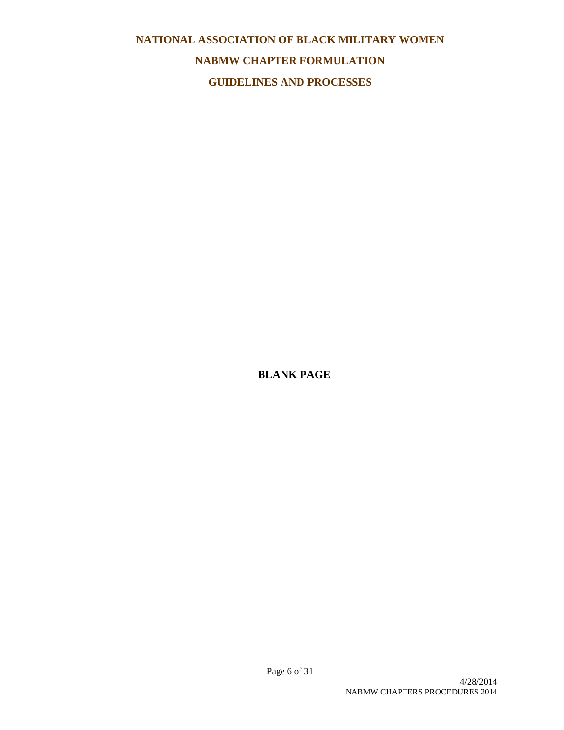# **NATIONAL ASSOCIATION OF BLACK MILITARY WOMEN NABMW CHAPTER FORMULATION GUIDELINES AND PROCESSES**

**BLANK PAGE**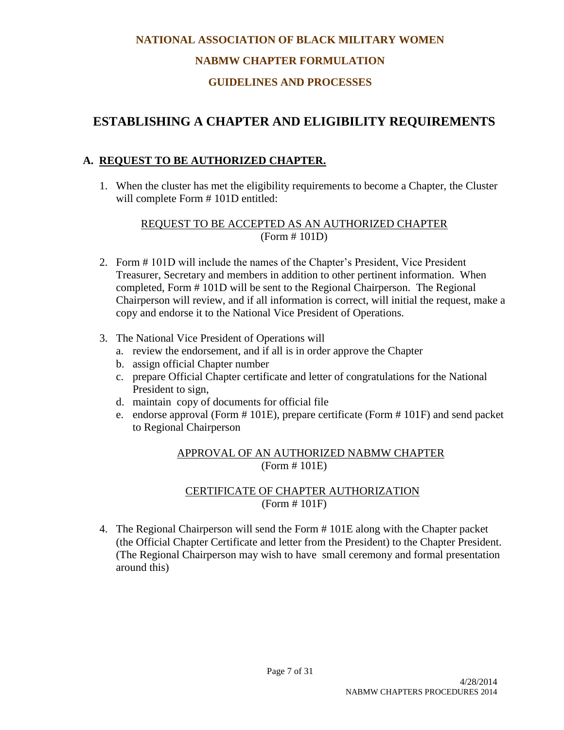# **NABMW CHAPTER FORMULATION**

# **GUIDELINES AND PROCESSES**

# **ESTABLISHING A CHAPTER AND ELIGIBILITY REQUIREMENTS**

# **A. REQUEST TO BE AUTHORIZED CHAPTER.**

1. When the cluster has met the eligibility requirements to become a Chapter, the Cluster will complete Form # 101D entitled:

# REQUEST TO BE ACCEPTED AS AN AUTHORIZED CHAPTER (Form # 101D)

- 2. Form # 101D will include the names of the Chapter's President, Vice President Treasurer, Secretary and members in addition to other pertinent information. When completed, Form # 101D will be sent to the Regional Chairperson. The Regional Chairperson will review, and if all information is correct, will initial the request, make a copy and endorse it to the National Vice President of Operations.
- 3. The National Vice President of Operations will
	- a. review the endorsement, and if all is in order approve the Chapter
	- b. assign official Chapter number
	- c. prepare Official Chapter certificate and letter of congratulations for the National President to sign,
	- d. maintain copy of documents for official file
	- e. endorse approval (Form # 101E), prepare certificate (Form # 101F) and send packet to Regional Chairperson

#### APPROVAL OF AN AUTHORIZED NABMW CHAPTER (Form # 101E)

### CERTIFICATE OF CHAPTER AUTHORIZATION (Form # 101F)

4. The Regional Chairperson will send the Form # 101E along with the Chapter packet (the Official Chapter Certificate and letter from the President) to the Chapter President. (The Regional Chairperson may wish to have small ceremony and formal presentation around this)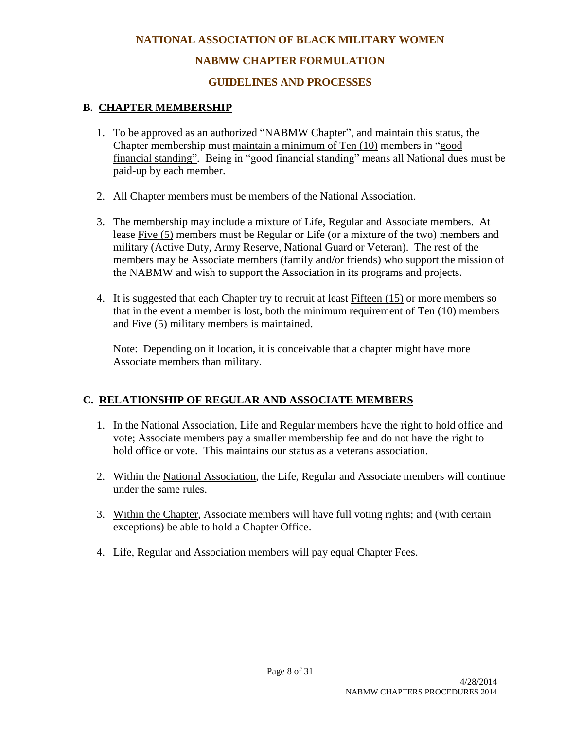# **NABMW CHAPTER FORMULATION**

# **GUIDELINES AND PROCESSES**

# **B. CHAPTER MEMBERSHIP**

- 1. To be approved as an authorized "NABMW Chapter", and maintain this status, the Chapter membership must maintain a minimum of Ten (10) members in "good financial standing". Being in "good financial standing" means all National dues must be paid-up by each member.
- 2. All Chapter members must be members of the National Association.
- 3. The membership may include a mixture of Life, Regular and Associate members. At lease Five (5) members must be Regular or Life (or a mixture of the two) members and military (Active Duty, Army Reserve, National Guard or Veteran). The rest of the members may be Associate members (family and/or friends) who support the mission of the NABMW and wish to support the Association in its programs and projects.
- 4. It is suggested that each Chapter try to recruit at least Fifteen (15) or more members so that in the event a member is lost, both the minimum requirement of Ten (10) members and Five (5) military members is maintained.

Note: Depending on it location, it is conceivable that a chapter might have more Associate members than military.

# **C. RELATIONSHIP OF REGULAR AND ASSOCIATE MEMBERS**

- 1. In the National Association, Life and Regular members have the right to hold office and vote; Associate members pay a smaller membership fee and do not have the right to hold office or vote. This maintains our status as a veterans association.
- 2. Within the National Association, the Life, Regular and Associate members will continue under the same rules.
- 3. Within the Chapter, Associate members will have full voting rights; and (with certain exceptions) be able to hold a Chapter Office.
- 4. Life, Regular and Association members will pay equal Chapter Fees.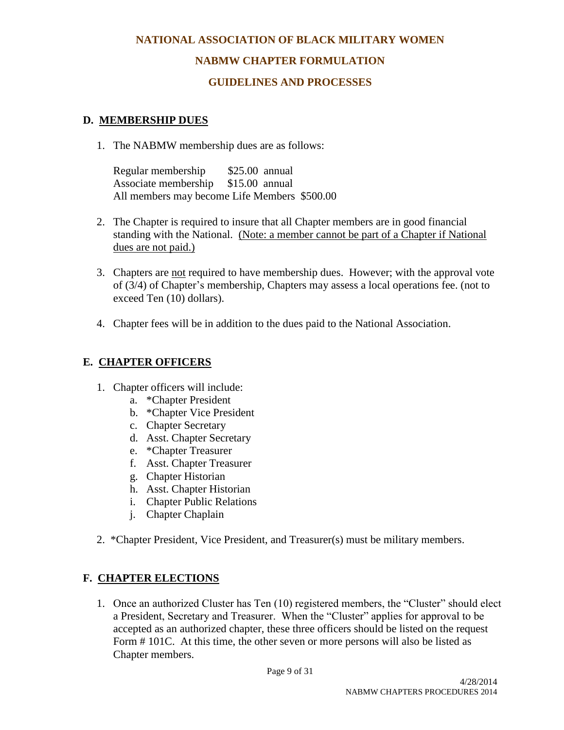# **NABMW CHAPTER FORMULATION**

## **GUIDELINES AND PROCESSES**

### **D. MEMBERSHIP DUES**

1. The NABMW membership dues are as follows:

Regular membership \$25.00 annual Associate membership \$15.00 annual All members may become Life Members \$500.00

- 2. The Chapter is required to insure that all Chapter members are in good financial standing with the National. (Note: a member cannot be part of a Chapter if National dues are not paid.)
- 3. Chapters are not required to have membership dues. However; with the approval vote of (3/4) of Chapter's membership, Chapters may assess a local operations fee. (not to exceed Ten (10) dollars).
- 4. Chapter fees will be in addition to the dues paid to the National Association.

# **E. CHAPTER OFFICERS**

- 1. Chapter officers will include:
	- a. \*Chapter President
	- b. \*Chapter Vice President
	- c. Chapter Secretary
	- d. Asst. Chapter Secretary
	- e. \*Chapter Treasurer
	- f. Asst. Chapter Treasurer
	- g. Chapter Historian
	- h. Asst. Chapter Historian
	- i. Chapter Public Relations
	- j. Chapter Chaplain
- 2. \*Chapter President, Vice President, and Treasurer(s) must be military members.

# **F. CHAPTER ELECTIONS**

1. Once an authorized Cluster has Ten (10) registered members, the "Cluster" should elect a President, Secretary and Treasurer. When the "Cluster" applies for approval to be accepted as an authorized chapter, these three officers should be listed on the request Form # 101C. At this time, the other seven or more persons will also be listed as Chapter members.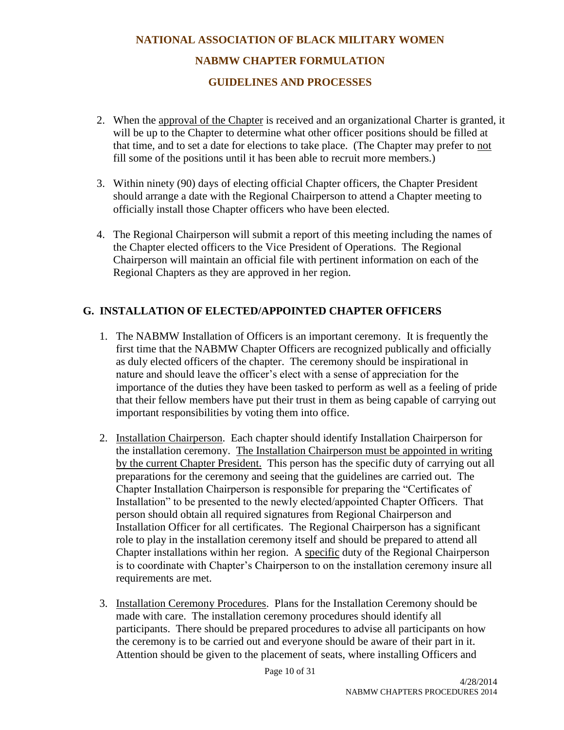# **NATIONAL ASSOCIATION OF BLACK MILITARY WOMEN NABMW CHAPTER FORMULATION GUIDELINES AND PROCESSES**

- 2. When the approval of the Chapter is received and an organizational Charter is granted, it will be up to the Chapter to determine what other officer positions should be filled at that time, and to set a date for elections to take place. (The Chapter may prefer to not fill some of the positions until it has been able to recruit more members.)
- 3. Within ninety (90) days of electing official Chapter officers, the Chapter President should arrange a date with the Regional Chairperson to attend a Chapter meeting to officially install those Chapter officers who have been elected.
- 4. The Regional Chairperson will submit a report of this meeting including the names of the Chapter elected officers to the Vice President of Operations. The Regional Chairperson will maintain an official file with pertinent information on each of the Regional Chapters as they are approved in her region.

# **G. INSTALLATION OF ELECTED/APPOINTED CHAPTER OFFICERS**

- 1. The NABMW Installation of Officers is an important ceremony. It is frequently the first time that the NABMW Chapter Officers are recognized publically and officially as duly elected officers of the chapter. The ceremony should be inspirational in nature and should leave the officer's elect with a sense of appreciation for the importance of the duties they have been tasked to perform as well as a feeling of pride that their fellow members have put their trust in them as being capable of carrying out important responsibilities by voting them into office.
- 2. Installation Chairperson. Each chapter should identify Installation Chairperson for the installation ceremony. The Installation Chairperson must be appointed in writing by the current Chapter President. This person has the specific duty of carrying out all preparations for the ceremony and seeing that the guidelines are carried out. The Chapter Installation Chairperson is responsible for preparing the "Certificates of Installation" to be presented to the newly elected/appointed Chapter Officers. That person should obtain all required signatures from Regional Chairperson and Installation Officer for all certificates. The Regional Chairperson has a significant role to play in the installation ceremony itself and should be prepared to attend all Chapter installations within her region. A specific duty of the Regional Chairperson is to coordinate with Chapter's Chairperson to on the installation ceremony insure all requirements are met.
- 3. Installation Ceremony Procedures. Plans for the Installation Ceremony should be made with care. The installation ceremony procedures should identify all participants. There should be prepared procedures to advise all participants on how the ceremony is to be carried out and everyone should be aware of their part in it. Attention should be given to the placement of seats, where installing Officers and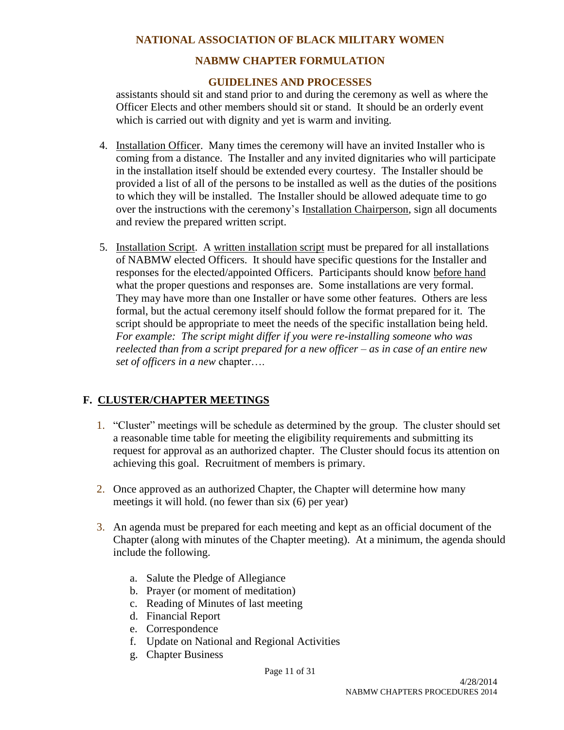### **NABMW CHAPTER FORMULATION**

#### **GUIDELINES AND PROCESSES**

assistants should sit and stand prior to and during the ceremony as well as where the Officer Elects and other members should sit or stand. It should be an orderly event which is carried out with dignity and yet is warm and inviting.

- 4. Installation Officer. Many times the ceremony will have an invited Installer who is coming from a distance. The Installer and any invited dignitaries who will participate in the installation itself should be extended every courtesy. The Installer should be provided a list of all of the persons to be installed as well as the duties of the positions to which they will be installed. The Installer should be allowed adequate time to go over the instructions with the ceremony's Installation Chairperson, sign all documents and review the prepared written script.
- 5. Installation Script. A written installation script must be prepared for all installations of NABMW elected Officers. It should have specific questions for the Installer and responses for the elected/appointed Officers. Participants should know before hand what the proper questions and responses are. Some installations are very formal. They may have more than one Installer or have some other features. Others are less formal, but the actual ceremony itself should follow the format prepared for it. The script should be appropriate to meet the needs of the specific installation being held. *For example: The script might differ if you were re-installing someone who was reelected than from a script prepared for a new officer – as in case of an entire new set of officers in a new* chapter….

#### **F. CLUSTER/CHAPTER MEETINGS**

- 1. "Cluster" meetings will be schedule as determined by the group. The cluster should set a reasonable time table for meeting the eligibility requirements and submitting its request for approval as an authorized chapter. The Cluster should focus its attention on achieving this goal. Recruitment of members is primary.
- 2. Once approved as an authorized Chapter, the Chapter will determine how many meetings it will hold. (no fewer than six (6) per year)
- 3. An agenda must be prepared for each meeting and kept as an official document of the Chapter (along with minutes of the Chapter meeting). At a minimum, the agenda should include the following.
	- a. Salute the Pledge of Allegiance
	- b. Prayer (or moment of meditation)
	- c. Reading of Minutes of last meeting
	- d. Financial Report
	- e. Correspondence
	- f. Update on National and Regional Activities
	- g. Chapter Business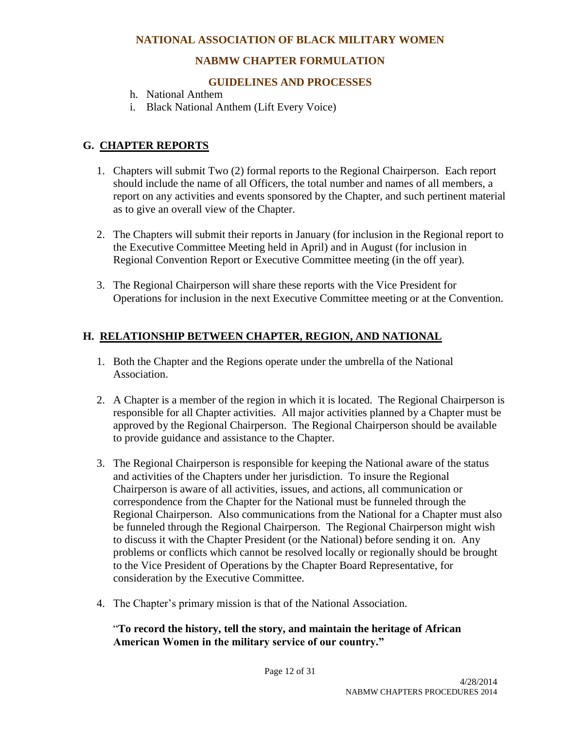## **NABMW CHAPTER FORMULATION**

#### **GUIDELINES AND PROCESSES**

- h. National Anthem
- i. Black National Anthem (Lift Every Voice)

# **G. CHAPTER REPORTS**

- 1. Chapters will submit Two (2) formal reports to the Regional Chairperson. Each report should include the name of all Officers, the total number and names of all members, a report on any activities and events sponsored by the Chapter, and such pertinent material as to give an overall view of the Chapter.
- 2. The Chapters will submit their reports in January (for inclusion in the Regional report to the Executive Committee Meeting held in April) and in August (for inclusion in Regional Convention Report or Executive Committee meeting (in the off year).
- 3. The Regional Chairperson will share these reports with the Vice President for Operations for inclusion in the next Executive Committee meeting or at the Convention.

### **H. RELATIONSHIP BETWEEN CHAPTER, REGION, AND NATIONAL**

- 1. Both the Chapter and the Regions operate under the umbrella of the National Association.
- 2. A Chapter is a member of the region in which it is located. The Regional Chairperson is responsible for all Chapter activities. All major activities planned by a Chapter must be approved by the Regional Chairperson. The Regional Chairperson should be available to provide guidance and assistance to the Chapter.
- 3. The Regional Chairperson is responsible for keeping the National aware of the status and activities of the Chapters under her jurisdiction. To insure the Regional Chairperson is aware of all activities, issues, and actions, all communication or correspondence from the Chapter for the National must be funneled through the Regional Chairperson. Also communications from the National for a Chapter must also be funneled through the Regional Chairperson. The Regional Chairperson might wish to discuss it with the Chapter President (or the National) before sending it on. Any problems or conflicts which cannot be resolved locally or regionally should be brought to the Vice President of Operations by the Chapter Board Representative, for consideration by the Executive Committee.
- 4. The Chapter's primary mission is that of the National Association.

### "**To record the history, tell the story, and maintain the heritage of African American Women in the military service of our country."**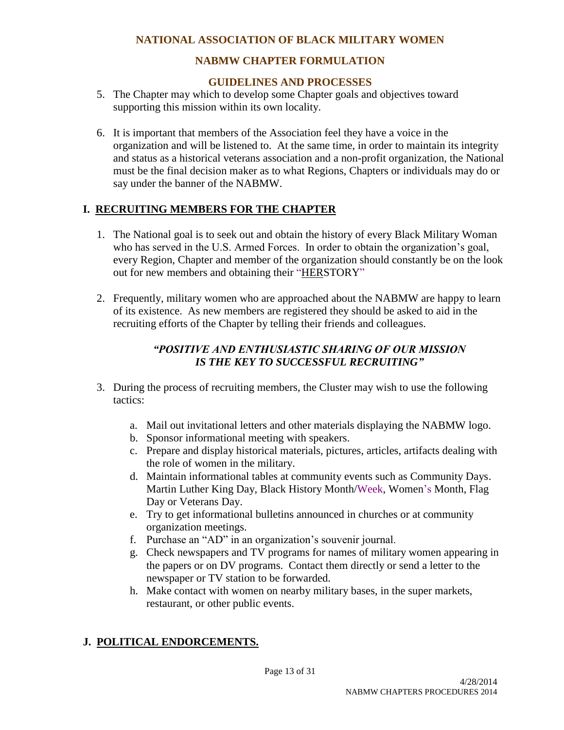# **NABMW CHAPTER FORMULATION**

# **GUIDELINES AND PROCESSES**

- 5. The Chapter may which to develop some Chapter goals and objectives toward supporting this mission within its own locality.
- 6. It is important that members of the Association feel they have a voice in the organization and will be listened to. At the same time, in order to maintain its integrity and status as a historical veterans association and a non-profit organization, the National must be the final decision maker as to what Regions, Chapters or individuals may do or say under the banner of the NABMW.

# **I. RECRUITING MEMBERS FOR THE CHAPTER**

- 1. The National goal is to seek out and obtain the history of every Black Military Woman who has served in the U.S. Armed Forces. In order to obtain the organization's goal, every Region, Chapter and member of the organization should constantly be on the look out for new members and obtaining their "HERSTORY"
- 2. Frequently, military women who are approached about the NABMW are happy to learn of its existence. As new members are registered they should be asked to aid in the recruiting efforts of the Chapter by telling their friends and colleagues.

# *"POSITIVE AND ENTHUSIASTIC SHARING OF OUR MISSION IS THE KEY TO SUCCESSFUL RECRUITING"*

- 3. During the process of recruiting members, the Cluster may wish to use the following tactics:
	- a. Mail out invitational letters and other materials displaying the NABMW logo.
	- b. Sponsor informational meeting with speakers.
	- c. Prepare and display historical materials, pictures, articles, artifacts dealing with the role of women in the military.
	- d. Maintain informational tables at community events such as Community Days. Martin Luther King Day, Black History Month/Week, Women's Month, Flag Day or Veterans Day.
	- e. Try to get informational bulletins announced in churches or at community organization meetings.
	- f. Purchase an "AD" in an organization's souvenir journal.
	- g. Check newspapers and TV programs for names of military women appearing in the papers or on DV programs. Contact them directly or send a letter to the newspaper or TV station to be forwarded.
	- h. Make contact with women on nearby military bases, in the super markets, restaurant, or other public events.

# **J. POLITICAL ENDORCEMENTS.**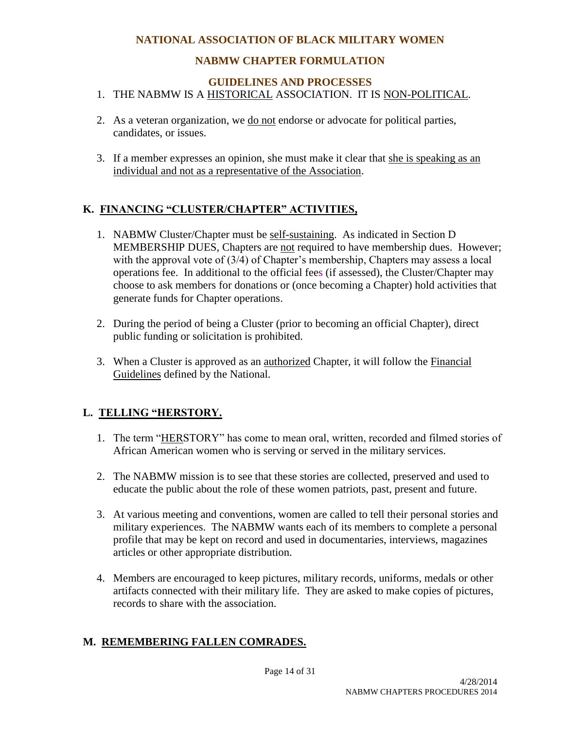# **NABMW CHAPTER FORMULATION**

#### **GUIDELINES AND PROCESSES**

#### 1. THE NABMW IS A HISTORICAL ASSOCIATION. IT IS NON-POLITICAL.

- 2. As a veteran organization, we do not endorse or advocate for political parties, candidates, or issues.
- 3. If a member expresses an opinion, she must make it clear that she is speaking as an individual and not as a representative of the Association.

# **K. FINANCING "CLUSTER/CHAPTER" ACTIVITIES,**

- 1. NABMW Cluster/Chapter must be self-sustaining. As indicated in Section D MEMBERSHIP DUES, Chapters are not required to have membership dues. However; with the approval vote of (3/4) of Chapter's membership, Chapters may assess a local operations fee. In additional to the official fees (if assessed), the Cluster/Chapter may choose to ask members for donations or (once becoming a Chapter) hold activities that generate funds for Chapter operations.
- 2. During the period of being a Cluster (prior to becoming an official Chapter), direct public funding or solicitation is prohibited.
- 3. When a Cluster is approved as an authorized Chapter, it will follow the Financial Guidelines defined by the National.

# **L. TELLING "HERSTORY.**

- 1. The term "HERSTORY" has come to mean oral, written, recorded and filmed stories of African American women who is serving or served in the military services.
- 2. The NABMW mission is to see that these stories are collected, preserved and used to educate the public about the role of these women patriots, past, present and future.
- 3. At various meeting and conventions, women are called to tell their personal stories and military experiences. The NABMW wants each of its members to complete a personal profile that may be kept on record and used in documentaries, interviews, magazines articles or other appropriate distribution.
- 4. Members are encouraged to keep pictures, military records, uniforms, medals or other artifacts connected with their military life. They are asked to make copies of pictures, records to share with the association.

# **M. REMEMBERING FALLEN COMRADES.**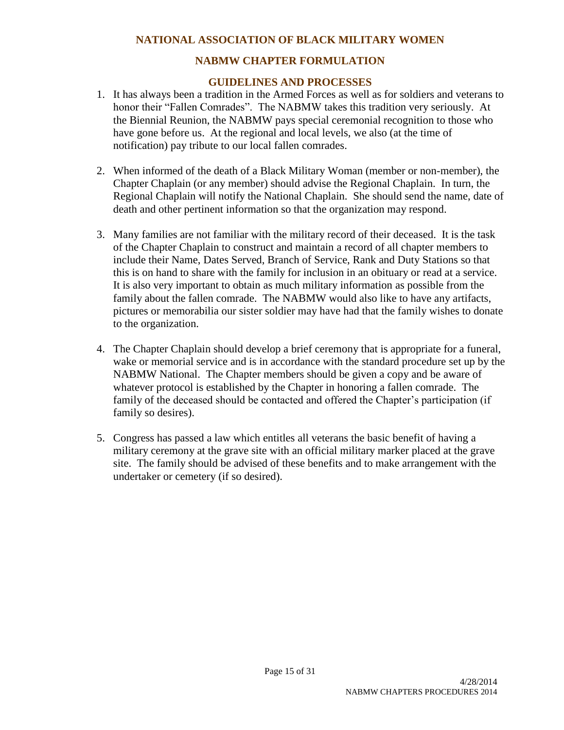# **NABMW CHAPTER FORMULATION**

#### **GUIDELINES AND PROCESSES**

- 1. It has always been a tradition in the Armed Forces as well as for soldiers and veterans to honor their "Fallen Comrades". The NABMW takes this tradition very seriously. At the Biennial Reunion, the NABMW pays special ceremonial recognition to those who have gone before us. At the regional and local levels, we also (at the time of notification) pay tribute to our local fallen comrades.
- 2. When informed of the death of a Black Military Woman (member or non-member), the Chapter Chaplain (or any member) should advise the Regional Chaplain. In turn, the Regional Chaplain will notify the National Chaplain. She should send the name, date of death and other pertinent information so that the organization may respond.
- 3. Many families are not familiar with the military record of their deceased. It is the task of the Chapter Chaplain to construct and maintain a record of all chapter members to include their Name, Dates Served, Branch of Service, Rank and Duty Stations so that this is on hand to share with the family for inclusion in an obituary or read at a service. It is also very important to obtain as much military information as possible from the family about the fallen comrade. The NABMW would also like to have any artifacts, pictures or memorabilia our sister soldier may have had that the family wishes to donate to the organization.
- 4. The Chapter Chaplain should develop a brief ceremony that is appropriate for a funeral, wake or memorial service and is in accordance with the standard procedure set up by the NABMW National. The Chapter members should be given a copy and be aware of whatever protocol is established by the Chapter in honoring a fallen comrade. The family of the deceased should be contacted and offered the Chapter's participation (if family so desires).
- 5. Congress has passed a law which entitles all veterans the basic benefit of having a military ceremony at the grave site with an official military marker placed at the grave site. The family should be advised of these benefits and to make arrangement with the undertaker or cemetery (if so desired).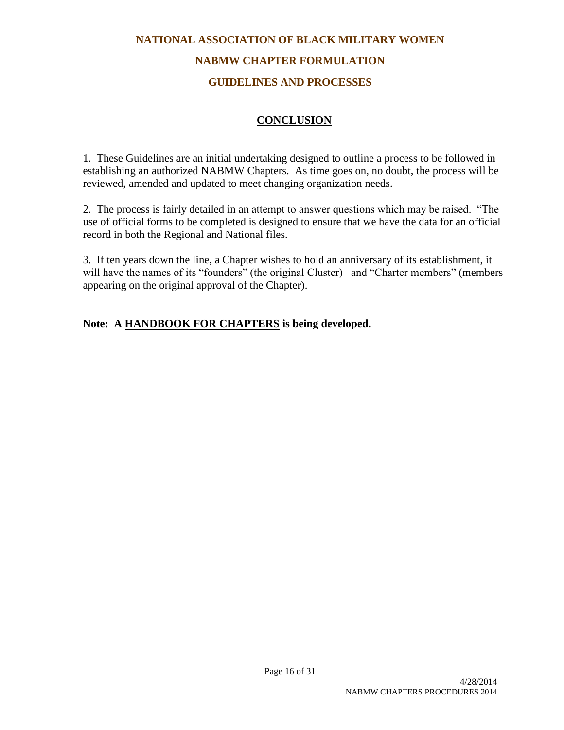# **NATIONAL ASSOCIATION OF BLACK MILITARY WOMEN NABMW CHAPTER FORMULATION**

# **GUIDELINES AND PROCESSES**

# **CONCLUSION**

1. These Guidelines are an initial undertaking designed to outline a process to be followed in establishing an authorized NABMW Chapters. As time goes on, no doubt, the process will be reviewed, amended and updated to meet changing organization needs.

2. The process is fairly detailed in an attempt to answer questions which may be raised. "The use of official forms to be completed is designed to ensure that we have the data for an official record in both the Regional and National files.

3. If ten years down the line, a Chapter wishes to hold an anniversary of its establishment, it will have the names of its "founders" (the original Cluster) and "Charter members" (members appearing on the original approval of the Chapter).

# **Note: A HANDBOOK FOR CHAPTERS is being developed.**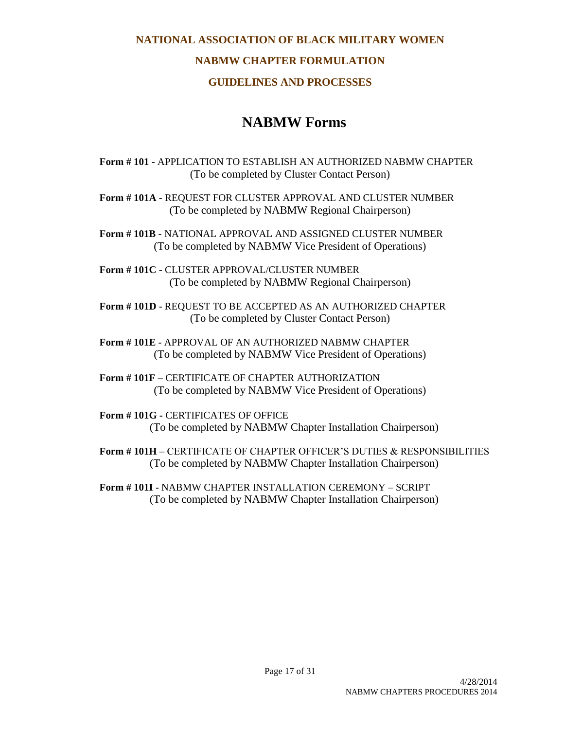## **NABMW CHAPTER FORMULATION**

#### **GUIDELINES AND PROCESSES**

# **NABMW Forms**

**Form # 101 -** APPLICATION TO ESTABLISH AN AUTHORIZED NABMW CHAPTER (To be completed by Cluster Contact Person)

**Form # 101A -** REQUEST FOR CLUSTER APPROVAL AND CLUSTER NUMBER (To be completed by NABMW Regional Chairperson)

**Form # 101B -** NATIONAL APPROVAL AND ASSIGNED CLUSTER NUMBER (To be completed by NABMW Vice President of Operations)

**Form # 101C -** CLUSTER APPROVAL/CLUSTER NUMBER (To be completed by NABMW Regional Chairperson)

**Form # 101D** - REQUEST TO BE ACCEPTED AS AN AUTHORIZED CHAPTER (To be completed by Cluster Contact Person)

**Form # 101E** - APPROVAL OF AN AUTHORIZED NABMW CHAPTER (To be completed by NABMW Vice President of Operations)

**Form # 101F –** CERTIFICATE OF CHAPTER AUTHORIZATION (To be completed by NABMW Vice President of Operations)

**Form # 101G -** CERTIFICATES OF OFFICE (To be completed by NABMW Chapter Installation Chairperson)

**Form # 101H** – CERTIFICATE OF CHAPTER OFFICER'S DUTIES & RESPONSIBILITIES (To be completed by NABMW Chapter Installation Chairperson)

**Form # 101I** - NABMW CHAPTER INSTALLATION CEREMONY – SCRIPT (To be completed by NABMW Chapter Installation Chairperson)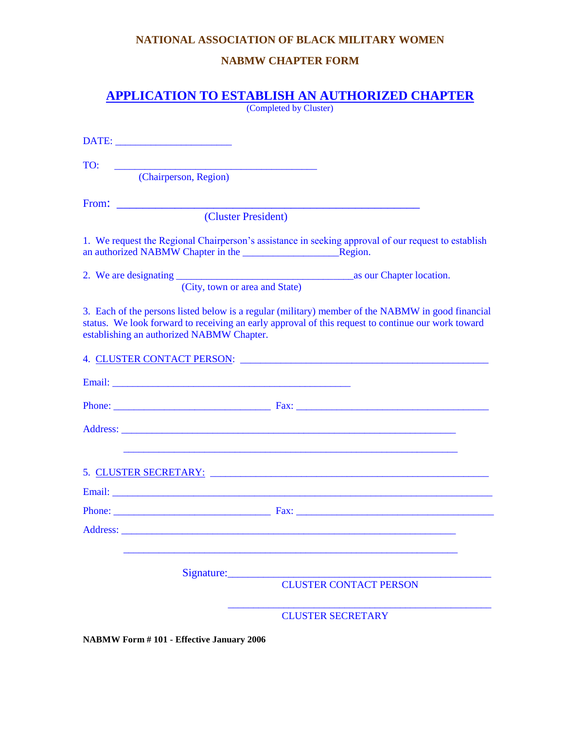# **NABMW CHAPTER FORM**

# **APPLICATION TO ESTABLISH AN AUTHORIZED CHAPTER**

(Completed by Cluster)

| TO:                                       |                                                                                                                                                                                                                                |
|-------------------------------------------|--------------------------------------------------------------------------------------------------------------------------------------------------------------------------------------------------------------------------------|
| (Chairperson, Region)                     |                                                                                                                                                                                                                                |
|                                           |                                                                                                                                                                                                                                |
|                                           | (Cluster President)                                                                                                                                                                                                            |
|                                           | 1. We request the Regional Chairperson's assistance in seeking approval of our request to establish                                                                                                                            |
|                                           | (City, town or area and State)                                                                                                                                                                                                 |
| establishing an authorized NABMW Chapter. | 3. Each of the persons listed below is a regular (military) member of the NABMW in good financial<br>status. We look forward to receiving an early approval of this request to continue our work toward                        |
|                                           |                                                                                                                                                                                                                                |
|                                           |                                                                                                                                                                                                                                |
|                                           |                                                                                                                                                                                                                                |
|                                           |                                                                                                                                                                                                                                |
|                                           |                                                                                                                                                                                                                                |
|                                           |                                                                                                                                                                                                                                |
|                                           |                                                                                                                                                                                                                                |
|                                           | Address: 2008. 2008. 2009. 2009. 2009. 2009. 2009. 2009. 2009. 2009. 2009. 2009. 2009. 2009. 2009. 2009. 2009. 2009. 2009. 2009. 2009. 2009. 2009. 2009. 2009. 2009. 2009. 2009. 2009. 2009. 2009. 2009. 2009. 2009. 2009. 200 |
|                                           | Signature:<br><b>CLUSTER CONTACT PERSON</b>                                                                                                                                                                                    |
|                                           | <b>CLUSTER SECRETARY</b>                                                                                                                                                                                                       |

**NABMW Form # 101 - Effective January 2006**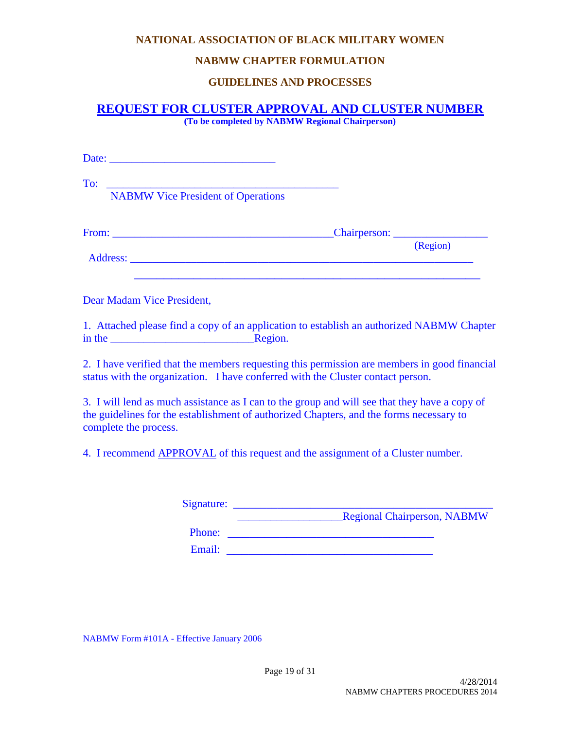#### **NABMW CHAPTER FORMULATION**

#### **GUIDELINES AND PROCESSES**

# **REQUEST FOR CLUSTER APPROVAL AND CLUSTER NUMBER**

**(To be completed by NABMW Regional Chairperson)**

| To:<br><b>NABMW Vice President of Operations</b> |          |
|--------------------------------------------------|----------|
|                                                  |          |
|                                                  | (Region) |

Dear Madam Vice President,

1. Attached please find a copy of an application to establish an authorized NABMW Chapter in the **Region**.

2. I have verified that the members requesting this permission are members in good financial status with the organization. I have conferred with the Cluster contact person.

3. I will lend as much assistance as I can to the group and will see that they have a copy of the guidelines for the establishment of authorized Chapters, and the forms necessary to complete the process.

4. I recommend APPROVAL of this request and the assignment of a Cluster number.

| Signature: |                                    |
|------------|------------------------------------|
|            | <b>Regional Chairperson, NABMW</b> |
| Phone:     |                                    |
| Email:     |                                    |

NABMW Form #101A - Effective January 2006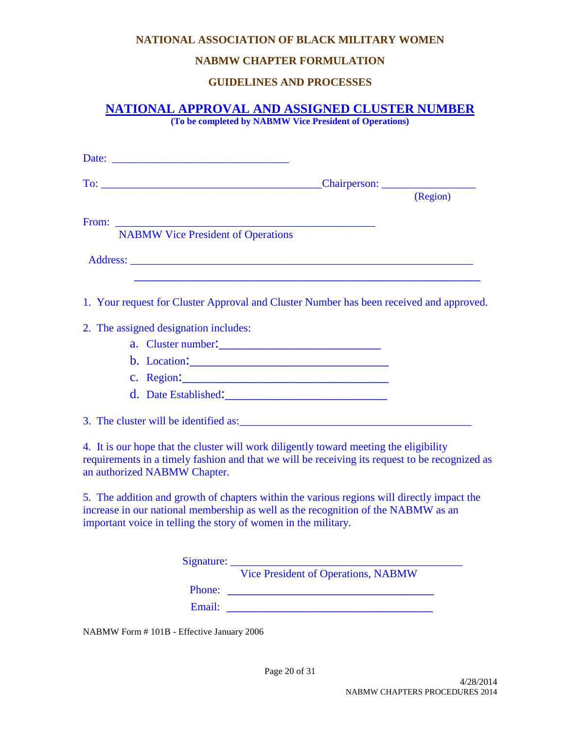#### **NABMW CHAPTER FORMULATION**

# **GUIDELINES AND PROCESSES**

# **NATIONAL APPROVAL AND ASSIGNED CLUSTER NUMBER**

**(To be completed by NABMW Vice President of Operations)**

|                                       | To: the contract of the contract of the contract of the contract of the contract of the contract of the contract of the contract of the contract of the contract of the contract of the contract of the contract of the contra                    |          |
|---------------------------------------|---------------------------------------------------------------------------------------------------------------------------------------------------------------------------------------------------------------------------------------------------|----------|
|                                       |                                                                                                                                                                                                                                                   | (Region) |
|                                       |                                                                                                                                                                                                                                                   |          |
|                                       | <b>NABMW</b> Vice President of Operations                                                                                                                                                                                                         |          |
|                                       | Address: No. 1986. The Commission of the Commission of the Commission of the Commission of the Commission of the Commission of the Commission of the Commission of the Commission of the Commission of the Commission of the C                    |          |
|                                       | 1. Your request for Cluster Approval and Cluster Number has been received and approved.                                                                                                                                                           |          |
| 2. The assigned designation includes: |                                                                                                                                                                                                                                                   |          |
|                                       |                                                                                                                                                                                                                                                   |          |
|                                       |                                                                                                                                                                                                                                                   |          |
|                                       |                                                                                                                                                                                                                                                   |          |
|                                       | d. Date Established:                                                                                                                                                                                                                              |          |
|                                       |                                                                                                                                                                                                                                                   |          |
| an authorized NABMW Chapter.          | 4. It is our hope that the cluster will work diligently toward meeting the eligibility<br>requirements in a timely fashion and that we will be receiving its request to be recognized as                                                          |          |
|                                       | 5. The addition and growth of chapters within the various regions will directly impact the<br>increase in our national membership as well as the recognition of the NABMW as an<br>important voice in telling the story of women in the military. |          |
|                                       |                                                                                                                                                                                                                                                   |          |
|                                       | Vice President of Operations, NABMW                                                                                                                                                                                                               |          |
|                                       |                                                                                                                                                                                                                                                   |          |
|                                       | Email:                                                                                                                                                                                                                                            |          |

NABMW Form # 101B - Effective January 2006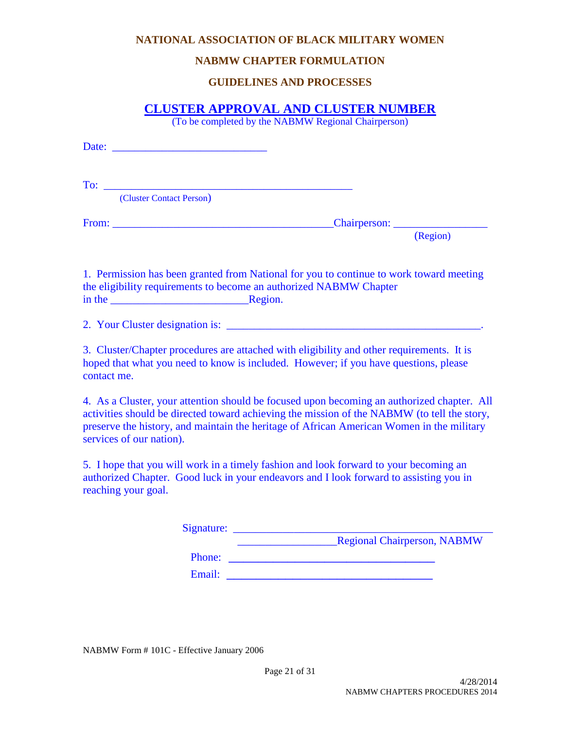#### **NABMW CHAPTER FORMULATION**

# **GUIDELINES AND PROCESSES**

# **CLUSTER APPROVAL AND CLUSTER NUMBER**

(To be completed by the NABMW Regional Chairperson)

Date: To: \_\_\_\_\_\_\_\_\_\_\_\_\_\_\_\_\_\_\_\_\_\_\_\_\_\_\_\_\_\_\_\_\_\_\_\_\_\_\_\_\_\_\_\_\_ (Cluster Contact Person) From: \_\_\_\_\_\_\_\_\_\_\_\_\_\_\_\_\_\_\_\_\_\_\_\_\_\_\_\_\_\_\_\_\_\_\_\_\_\_\_\_Chairperson: \_\_\_\_\_\_\_\_\_\_\_\_\_\_\_\_\_ (Region) 1. Permission has been granted from National for you to continue to work toward meeting the eligibility requirements to become an authorized NABMW Chapter in the \_\_\_\_\_\_\_\_\_\_\_\_\_\_\_\_\_\_\_\_\_\_\_\_\_Region. 2. Your Cluster designation is: \_\_\_\_\_\_\_\_\_\_\_\_\_\_\_\_\_\_\_\_\_\_\_\_\_\_\_\_\_\_\_\_\_\_\_\_\_\_\_\_\_\_\_\_\_\_.

3. Cluster/Chapter procedures are attached with eligibility and other requirements. It is hoped that what you need to know is included. However; if you have questions, please contact me.

4. As a Cluster, your attention should be focused upon becoming an authorized chapter. All activities should be directed toward achieving the mission of the NABMW (to tell the story, preserve the history, and maintain the heritage of African American Women in the military services of our nation).

5. I hope that you will work in a timely fashion and look forward to your becoming an authorized Chapter. Good luck in your endeavors and I look forward to assisting you in reaching your goal.

| Signature: |                                    |
|------------|------------------------------------|
|            | <b>Regional Chairperson, NABMW</b> |
| Phone:     |                                    |
| Email:     |                                    |

NABMW Form # 101C - Effective January 2006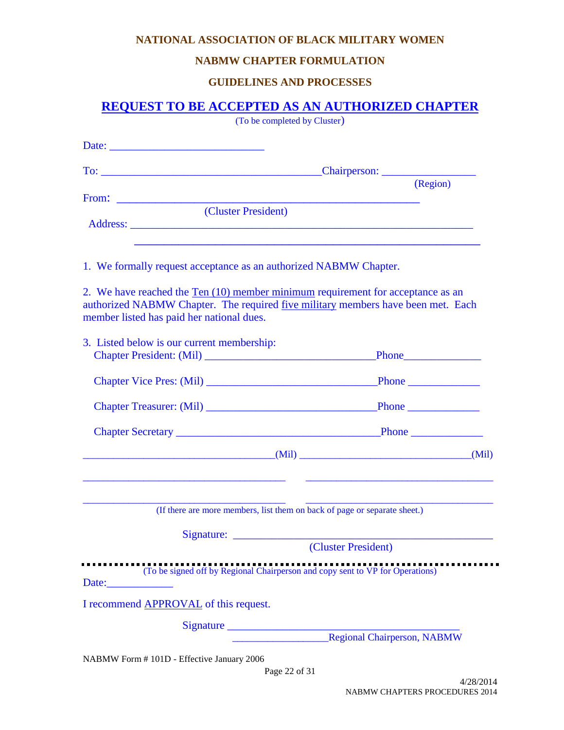#### **NABMW CHAPTER FORMULATION**

# **GUIDELINES AND PROCESSES**

# **REQUEST TO BE ACCEPTED AS AN AUTHORIZED CHAPTER**

(To be completed by Cluster)

|                                                                   | (Region)                                                                                                                                                                                                                        |
|-------------------------------------------------------------------|---------------------------------------------------------------------------------------------------------------------------------------------------------------------------------------------------------------------------------|
| (Cluster President)                                               |                                                                                                                                                                                                                                 |
|                                                                   |                                                                                                                                                                                                                                 |
| 1. We formally request acceptance as an authorized NABMW Chapter. |                                                                                                                                                                                                                                 |
| member listed has paid her national dues.                         | 2. We have reached the Ten (10) member minimum requirement for acceptance as an<br>authorized NABMW Chapter. The required five military members have been met. Each                                                             |
| 3. Listed below is our current membership:                        |                                                                                                                                                                                                                                 |
|                                                                   |                                                                                                                                                                                                                                 |
|                                                                   |                                                                                                                                                                                                                                 |
|                                                                   |                                                                                                                                                                                                                                 |
|                                                                   | $(Mil)$ (Mil) (2003) (2004) (2004) (2004) (2004) (2004) (2004) (2004) (2004) (2004) (2004) (2004) (2004) (2004) (2004) (2004) (2004) (2004) (2004) (2004) (2004) (2004) (2004) (2004) (2004) (2004) (2004) (2004) (2004) (2004) |
|                                                                   | (If there are more members, list them on back of page or separate sheet.)                                                                                                                                                       |
|                                                                   |                                                                                                                                                                                                                                 |
|                                                                   | (Cluster President)                                                                                                                                                                                                             |
|                                                                   | (To be signed off by Regional Chairperson and copy sent to VP for Operations)                                                                                                                                                   |
| I recommend <b>APPROVAL</b> of this request.                      |                                                                                                                                                                                                                                 |
|                                                                   |                                                                                                                                                                                                                                 |
|                                                                   | Regional Chairperson, NABMW                                                                                                                                                                                                     |

NABMW Form # 101D - Effective January 2006

Page 22 of 31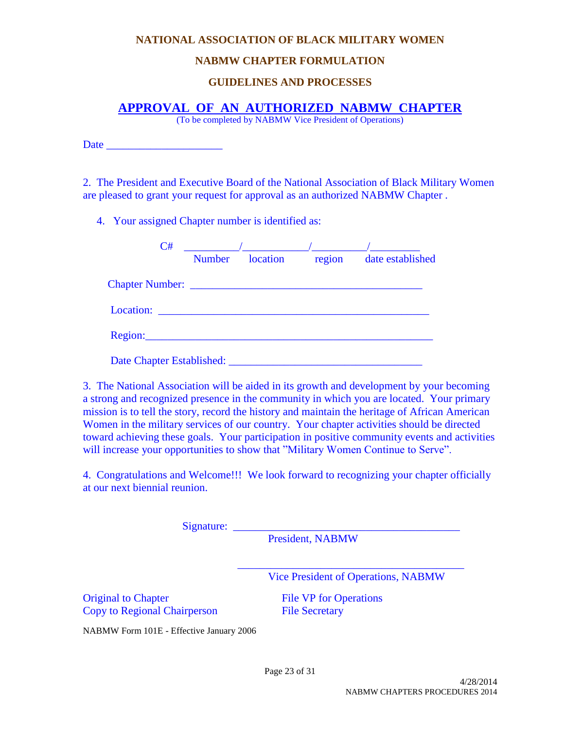#### **NABMW CHAPTER FORMULATION**

## **GUIDELINES AND PROCESSES**

### **APPROVAL OF AN AUTHORIZED NABMW CHAPTER**

(To be completed by NABMW Vice President of Operations)

| Date |  |
|------|--|
|      |  |

2. The President and Executive Board of the National Association of Black Military Women are pleased to grant your request for approval as an authorized NABMW Chapter .

4. Your assigned Chapter number is identified as:

| C#                        | <b>Number</b> | location | region | date established |
|---------------------------|---------------|----------|--------|------------------|
|                           |               |          |        |                  |
| Location: $\qquad \qquad$ |               |          |        |                  |
|                           |               |          |        |                  |

3. The National Association will be aided in its growth and development by your becoming a strong and recognized presence in the community in which you are located. Your primary mission is to tell the story, record the history and maintain the heritage of African American Women in the military services of our country. Your chapter activities should be directed toward achieving these goals. Your participation in positive community events and activities will increase your opportunities to show that "Military Women Continue to Serve".

4. Congratulations and Welcome!!! We look forward to recognizing your chapter officially at our next biennial reunion.

Signature: \_\_\_\_\_\_\_\_\_\_\_\_\_\_\_\_\_\_\_\_\_\_\_\_\_\_\_\_\_\_\_\_\_\_\_\_\_\_\_\_\_

President, NABMW

Vice President of Operations, NABMW

Original to Chapter File VP for Operations Copy to Regional Chairperson File Secretary

 $\mathcal{L}=\frac{1}{2}$  , which is a set of the set of the set of the set of the set of the set of the set of the set of the set of the set of the set of the set of the set of the set of the set of the set of the set of the set o

NABMW Form 101E - Effective January 2006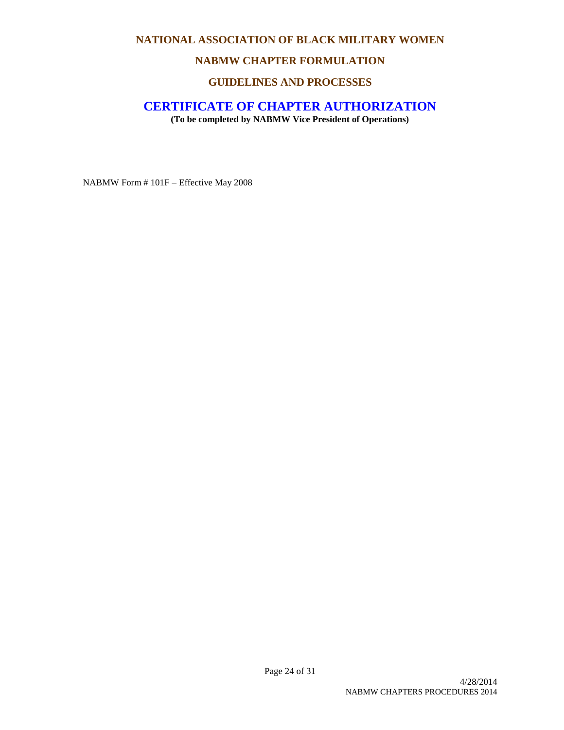#### **NABMW CHAPTER FORMULATION**

# **GUIDELINES AND PROCESSES**

#### **CERTIFICATE OF CHAPTER AUTHORIZATION**

**(To be completed by NABMW Vice President of Operations)**

NABMW Form # 101F – Effective May 2008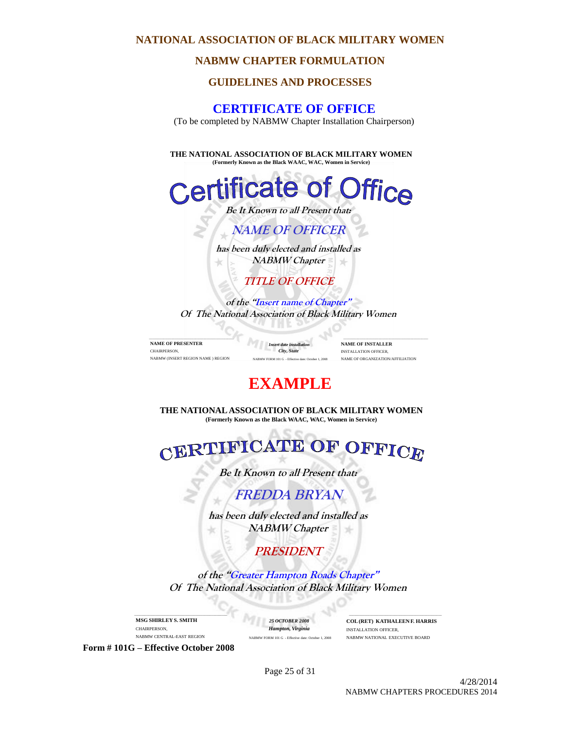#### **NABMW CHAPTER FORMULATION**

### **GUIDELINES AND PROCESSES**

# **CERTIFICATE OF OFFICE**

(To be completed by NABMW Chapter Installation Chairperson)

**THE NATIONAL ASSOCIATION OF BLACK MILITARY WOMEN (Formerly Known as the Black WAAC, WAC, Women in Service)**



**of the "Insert name of Chapter" Of The National Association of Black Military Women**

\_\_\_\_\_\_\_\_\_\_\_\_\_\_\_\_\_\_\_\_\_\_\_\_\_\_\_\_\_\_\_\_\_\_\_\_\_\_\_\_\_\_\_\_\_\_\_\_\_\_\_\_\_ **NAME OF PRESENTER** CHAIRPERSON, NABMW (INSERT REGION NAME ) REGION

*Insert date installati City, State*  W FORM 101 G - Effective date: Oc

\_\_\_\_\_\_\_\_\_\_\_\_\_\_\_\_\_\_\_\_\_\_\_\_\_\_\_\_\_\_\_\_\_\_\_\_\_\_\_\_\_\_\_\_\_\_\_\_\_\_\_\_\_ **NAME OF INSTALLER** INSTALLATION OFFICER, NAME OF ORGANIZATION/AFFILIATION

# **EXAMPLE**

**THE NATIONAL ASSOCIATION OF BLACK MILITARY WOMEN (Formerly Known as the Black WAAC, WAC, Women in Service)**

FICATE OF OFFICE CERT

**Be It Known to all Present that:**

**FREDDA BRYAN**

**has been duly elected and installed as NABMW Chapter**

**PRESIDENT**

**of the "Greater Hampton Roads Chapter" Of The National Association of Black Military Women**

**MSG SHIRLEY S. SMITH** CHAIRPERSON, NABMW CENTRAL-EAST REGION

\_\_\_\_\_\_\_\_\_\_\_\_\_\_\_\_\_\_\_\_\_\_\_\_\_\_\_\_\_\_\_\_\_\_\_\_\_\_\_\_\_\_\_\_\_\_\_\_\_\_\_\_\_

*25 OCTOBER 2008 Hampton, Virginia* NABMW FORM 101 G - Effective date: October 1, 2008

\_\_\_\_\_\_\_\_\_\_\_\_\_\_\_\_\_\_\_\_\_\_\_\_\_\_\_\_\_\_\_\_\_\_\_\_\_\_\_\_\_\_\_\_\_\_\_\_\_\_\_\_\_ **COL (RET) KATHALEEN F. HARRIS** INSTALLATION OFFICER, NABMW NATIONAL EXECUTIVE BOARD

**Form # 101G – Effective October 2008**

Page 25 of 31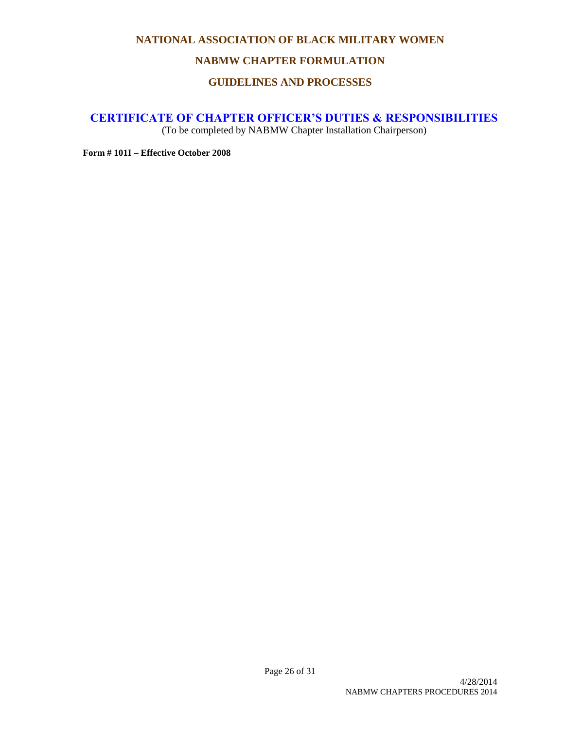#### **NABMW CHAPTER FORMULATION**

# **GUIDELINES AND PROCESSES**

# **CERTIFICATE OF CHAPTER OFFICER'S DUTIES & RESPONSIBILITIES**

(To be completed by NABMW Chapter Installation Chairperson)

**Form # 101I – Effective October 2008**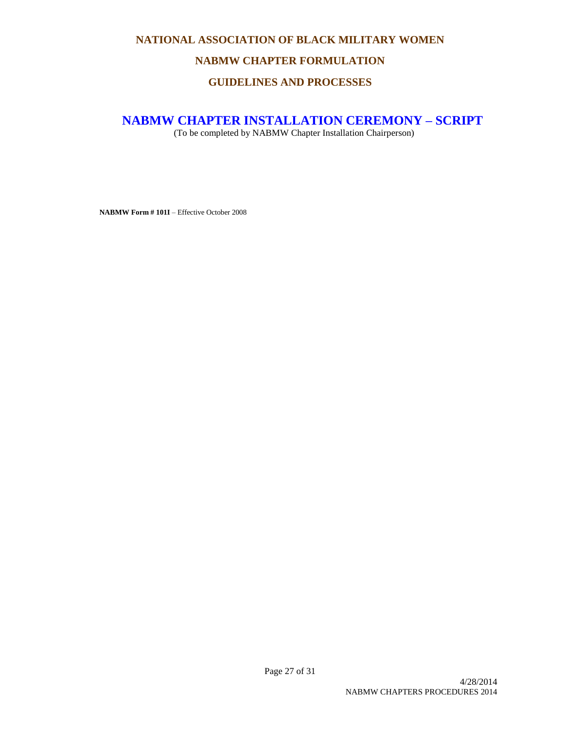# **NABMW CHAPTER FORMULATION**

# **GUIDELINES AND PROCESSES**

## **NABMW CHAPTER INSTALLATION CEREMONY – SCRIPT**

(To be completed by NABMW Chapter Installation Chairperson)

**NABMW Form # 101I** – Effective October 2008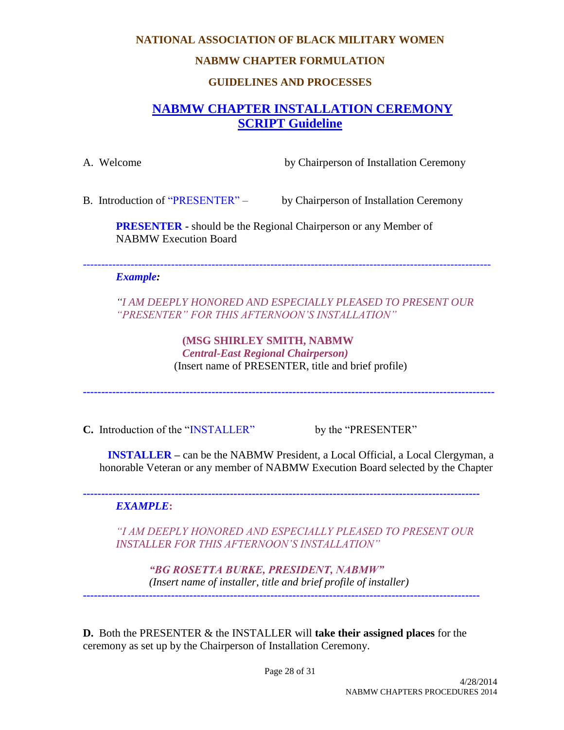#### **NABMW CHAPTER FORMULATION**

# **GUIDELINES AND PROCESSES**

# **NABMW CHAPTER INSTALLATION CEREMONY SCRIPT Guideline**

A. Welcome by Chairperson of Installation Ceremony

B. Introduction of "PRESENTER" – by Chairperson of Installation Ceremony

**PRESENTER -** should be the Regional Chairperson or any Member of NABMW Execution Board

---------------------------------------------------------------------------------------------------------------

#### *Example:*

*"I AM DEEPLY HONORED AND ESPECIALLY PLEASED TO PRESENT OUR "PRESENTER" FOR THIS AFTERNOON'S INSTALLATION"*

> **(MSG SHIRLEY SMITH, NABMW**  *Central-East Regional Chairperson)* (Insert name of PRESENTER, title and brief profile)

**----------------------------------------------------------------------------------------------------------------**

**C.** Introduction of the "INSTALLER" by the "PRESENTER"

**INSTALLER –** can be the NABMW President, a Local Official, a Local Clergyman, a honorable Veteran or any member of NABMW Execution Board selected by the Chapter

#### **------------------------------------------------------------------------------------------------------------** *EXAMPLE***:**

*"I AM DEEPLY HONORED AND ESPECIALLY PLEASED TO PRESENT OUR INSTALLER FOR THIS AFTERNOON'S INSTALLATION"*

*"BG ROSETTA BURKE, PRESIDENT, NABMW" (Insert name of installer, title and brief profile of installer)* **------------------------------------------------------------------------------------------------------------**

**D.** Both the PRESENTER & the INSTALLER will **take their assigned places** for the ceremony as set up by the Chairperson of Installation Ceremony.

Page 28 of 31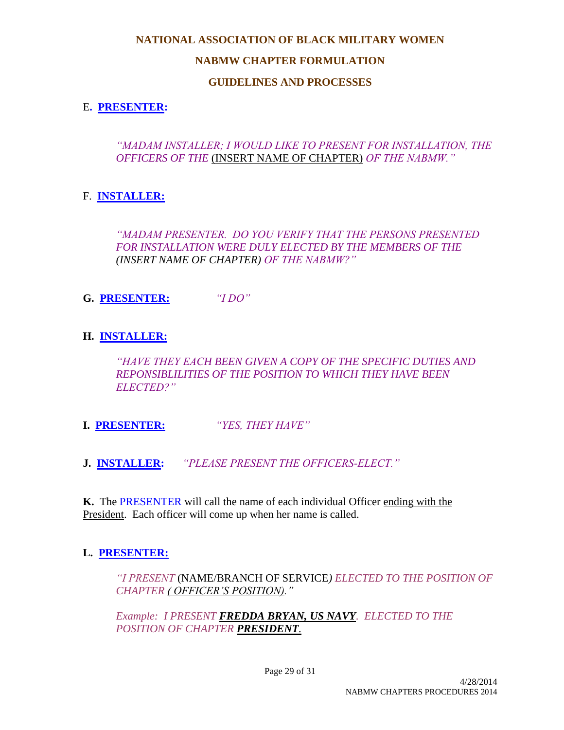# **NABMW CHAPTER FORMULATION**

# **GUIDELINES AND PROCESSES**

# E**. PRESENTER:**

*"MADAM INSTALLER; I WOULD LIKE TO PRESENT FOR INSTALLATION, THE OFFICERS OF THE* (INSERT NAME OF CHAPTER) *OF THE NABMW."*

# F. **INSTALLER:**

*"MADAM PRESENTER. DO YOU VERIFY THAT THE PERSONS PRESENTED FOR INSTALLATION WERE DULY ELECTED BY THE MEMBERS OF THE (INSERT NAME OF CHAPTER) OF THE NABMW?"* 

**G. PRESENTER:** *"I DO"*

# **H. INSTALLER:**

*"HAVE THEY EACH BEEN GIVEN A COPY OF THE SPECIFIC DUTIES AND REPONSIBLILITIES OF THE POSITION TO WHICH THEY HAVE BEEN ELECTED?"*

**I. PRESENTER:** *"YES, THEY HAVE"*

**J. INSTALLER:** *"PLEASE PRESENT THE OFFICERS-ELECT."*

**K.** The PRESENTER will call the name of each individual Officer ending with the President. Each officer will come up when her name is called.

# **L. PRESENTER:**

*"I PRESENT* (NAME/BRANCH OF SERVICE*) ELECTED TO THE POSITION OF CHAPTER ( OFFICER'S POSITION)."*

*Example: I PRESENT FREDDA BRYAN, US NAVY. ELECTED TO THE POSITION OF CHAPTER PRESIDENT.*

Page 29 of 31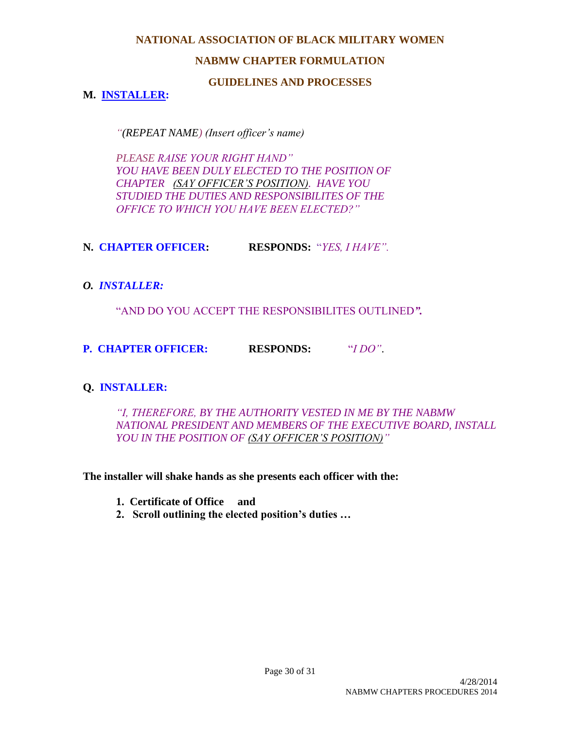# **NABMW CHAPTER FORMULATION**

#### **GUIDELINES AND PROCESSES**

# **M. INSTALLER:**

*"(REPEAT NAME) (Insert officer's name)*

*PLEASE RAISE YOUR RIGHT HAND" YOU HAVE BEEN DULY ELECTED TO THE POSITION OF CHAPTER (SAY OFFICER'S POSITION). HAVE YOU STUDIED THE DUTIES AND RESPONSIBILITES OF THE OFFICE TO WHICH YOU HAVE BEEN ELECTED?"*

**N. CHAPTER OFFICER: RESPONDS:** "*YES, I HAVE".*

### *O. INSTALLER:*

"AND DO YOU ACCEPT THE RESPONSIBILITES OUTLINED*".* 

**P. CHAPTER OFFICER: RESPONDS:** "*I DO"*.

# **Q. INSTALLER:**

*"I, THEREFORE, BY THE AUTHORITY VESTED IN ME BY THE NABMW NATIONAL PRESIDENT AND MEMBERS OF THE EXECUTIVE BOARD, INSTALL YOU IN THE POSITION OF (SAY OFFICER'S POSITION)"*

**The installer will shake hands as she presents each officer with the:**

- **1. Certificate of Office and**
- **2. Scroll outlining the elected position's duties …**